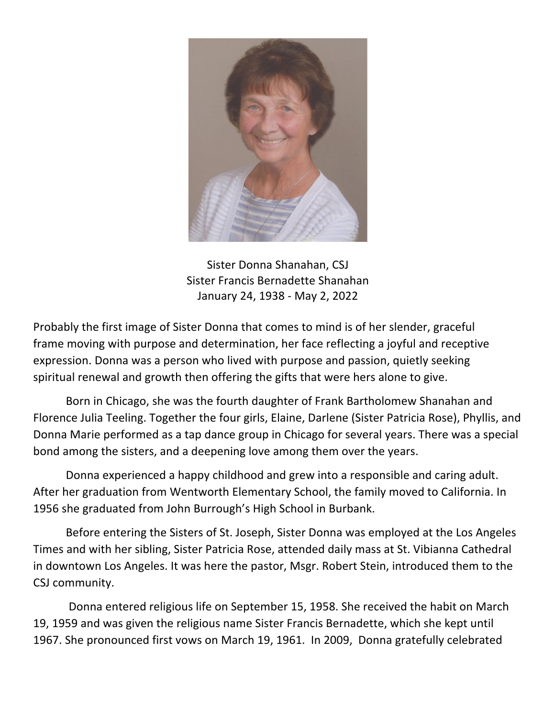

Sister Donna Shanahan, CSJ Sister Francis Bernadette Shanahan January 24, 1938 - May 2, 2022

Probably the first image of Sister Donna that comes to mind is of her slender, graceful frame moving with purpose and determination, her face reflecting a joyful and receptive expression. Donna was a person who lived with purpose and passion, quietly seeking spiritual renewal and growth then offering the gifts that were hers alone to give.

Born in Chicago, she was the fourth daughter of Frank Bartholomew Shanahan and Florence Julia Teeling. Together the four girls, Elaine, Darlene (Sister Patricia Rose), Phyllis, and Donna Marie performed as a tap dance group in Chicago for several years. There was a special bond among the sisters, and a deepening love among them over the years.

Donna experienced a happy childhood and grew into a responsible and caring adult. After her graduation from Wentworth Elementary School, the family moved to California. In 1956 she graduated from John Burrough's High School in Burbank.

Before entering the Sisters of St. Joseph, Sister Donna was employed at the Los Angeles Times and with her sibling, Sister Patricia Rose, attended daily mass at St. Vibianna Cathedral in downtown Los Angeles. It was here the pastor, Msgr. Robert Stein, introduced them to the CSJ community.

Donna entered religious life on September 15, 1958. She received the habit on March 19, 1959 and was given the religious name Sister Francis Bernadette, which she kept until 1967. She pronounced first vows on March 19, 1961. In 2009, Donna gratefully celebrated